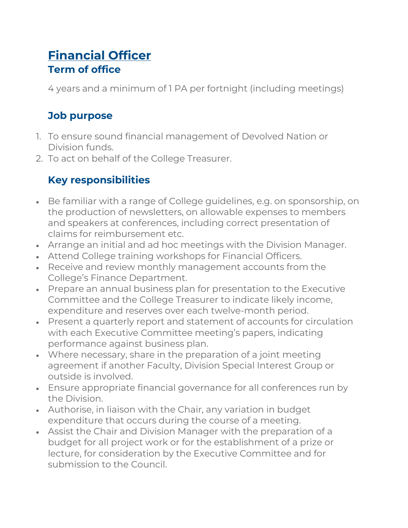## **[Financial Officer](https://www.rcpsych.ac.uk/members/devolved-nations/executive-committee-job-descriptions?searchTerms=committee%20job%20descriptions#faq-accoridon-collapse19dd862d-d574-4eec-8f2d-337f2b09f612) Term of office**

4 years and a minimum of 1 PA per fortnight (including meetings)

## **Job purpose**

- 1. To ensure sound financial management of Devolved Nation or Division funds.
- 2. To act on behalf of the College Treasurer.

## **Key responsibilities**

- Be familiar with a range of College guidelines, e.g. on sponsorship, on the production of newsletters, on allowable expenses to members and speakers at conferences, including correct presentation of claims for reimbursement etc.
- Arrange an initial and ad hoc meetings with the Division Manager.
- Attend College training workshops for Financial Officers.
- Receive and review monthly management accounts from the College's Finance Department.
- Prepare an annual business plan for presentation to the Executive Committee and the College Treasurer to indicate likely income, expenditure and reserves over each twelve-month period.
- Present a quarterly report and statement of accounts for circulation with each Executive Committee meeting's papers, indicating performance against business plan.
- Where necessary, share in the preparation of a joint meeting agreement if another Faculty, Division Special Interest Group or outside is involved.
- Ensure appropriate financial governance for all conferences run by the Division.
- Authorise, in liaison with the Chair, any variation in budget expenditure that occurs during the course of a meeting.
- Assist the Chair and Division Manager with the preparation of a budget for all project work or for the establishment of a prize or lecture, for consideration by the Executive Committee and for submission to the Council.